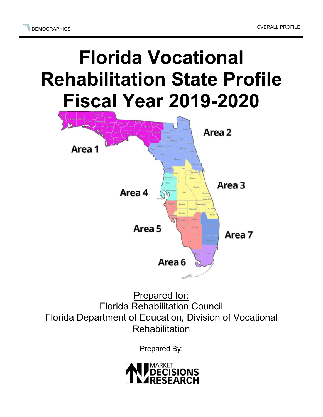## **Florida Vocational Rehabilitation State Profile Fiscal Year 2019-2020**



Prepared for: Florida Rehabilitation Council Florida Department of Education, Division of Vocational **Rehabilitation** 

Prepared By:

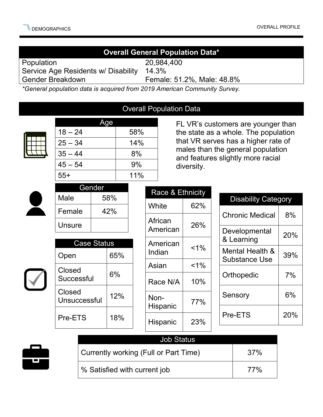| <b>Overall General Population Data*</b>                                   |               |                      |     |             |                  |                                                                                                                  |       |               |                                         |     |
|---------------------------------------------------------------------------|---------------|----------------------|-----|-------------|------------------|------------------------------------------------------------------------------------------------------------------|-------|---------------|-----------------------------------------|-----|
| Population                                                                |               |                      |     |             | 20,984,400       |                                                                                                                  |       |               |                                         |     |
| Service Age Residents w/ Disability                                       |               |                      |     |             | 14.3%            |                                                                                                                  |       |               |                                         |     |
| <b>Gender Breakdown</b><br>Female: 51.2%, Male: 48.8%                     |               |                      |     |             |                  |                                                                                                                  |       |               |                                         |     |
| *General population data is acquired from 2019 American Community Survey. |               |                      |     |             |                  |                                                                                                                  |       |               |                                         |     |
|                                                                           |               |                      |     |             |                  |                                                                                                                  |       |               |                                         |     |
| <b>Overall Population Data</b>                                            |               |                      |     |             |                  |                                                                                                                  |       |               |                                         |     |
|                                                                           | Age           |                      |     |             |                  | FL VR's customers are younger than                                                                               |       |               |                                         |     |
|                                                                           | $18 - 24$     |                      |     | 58%         |                  | the state as a whole. The population<br>that VR serves has a higher rate of<br>males than the general population |       |               |                                         |     |
|                                                                           |               | $25 - 34$            |     | 14%         |                  |                                                                                                                  |       |               |                                         |     |
|                                                                           | $35 - 44$     |                      |     | 8%          |                  | and features slightly more racial                                                                                |       |               |                                         |     |
|                                                                           |               | $45 - 54$            |     | 9%          |                  | diversity.                                                                                                       |       |               |                                         |     |
|                                                                           | $55+$         |                      |     | 11%         |                  |                                                                                                                  |       |               |                                         |     |
|                                                                           | Gender        |                      |     |             |                  |                                                                                                                  |       |               |                                         |     |
|                                                                           | Male          |                      | 58% |             | Race & Ethnicity |                                                                                                                  |       |               | <b>Disability Category</b>              |     |
|                                                                           | Female        |                      | 42% |             | White            |                                                                                                                  | 62%   |               | <b>Chronic Medical</b>                  | 8%  |
|                                                                           | <b>Unsure</b> |                      |     |             |                  | African                                                                                                          | 26%   |               |                                         |     |
|                                                                           |               |                      |     |             |                  | American                                                                                                         |       | Developmental | 20%                                     |     |
|                                                                           |               | <b>Case Status</b>   |     |             | American         |                                                                                                                  |       | & Learning    |                                         |     |
|                                                                           | Open          | 65%                  |     |             | Indian           |                                                                                                                  | $1\%$ |               | Mental Health &<br><b>Substance Use</b> | 39% |
|                                                                           |               | Closed<br>Successful |     | 6%          |                  | Asian                                                                                                            | $1\%$ |               |                                         |     |
|                                                                           |               |                      |     |             |                  | Race N/A                                                                                                         | 10%   |               | Orthopedic                              | 7%  |
|                                                                           | Closed        |                      |     | 12%<br>Non- |                  |                                                                                                                  |       | 6%<br>Sensory |                                         |     |
|                                                                           | Unsuccessful  |                      |     |             |                  | Hispanic                                                                                                         | 77%   |               |                                         |     |
|                                                                           | Pre-ETS       |                      | 18% |             |                  | Hispanic                                                                                                         | 23%   |               | Pre-ETS                                 | 20% |
|                                                                           |               |                      |     |             |                  |                                                                                                                  |       |               |                                         |     |
| <b>Job Status</b>                                                         |               |                      |     |             |                  |                                                                                                                  |       |               |                                         |     |
| Currently working (Full or Part Time)                                     |               |                      |     |             |                  | 37%                                                                                                              |       |               |                                         |     |
| $\blacksquare$                                                            |               |                      |     |             |                  |                                                                                                                  |       |               |                                         |     |

% Satisfied with current job  $\begin{array}{|c|c|c|c|c|} \hline \end{array}$  77%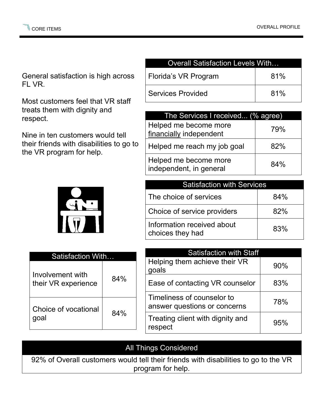General satisfaction is high across FL VR.

Most customers feel that VR staff treats them with dignity and respect.

Nine in ten customers would tell their friends with disabilities to go to the VR program for help.



| Satisfaction With                       |     |  |  |  |
|-----------------------------------------|-----|--|--|--|
| Involvement with<br>their VR experience | 84% |  |  |  |
| Choice of vocational<br>qoal            | 84% |  |  |  |

| <b>Overall Satisfaction Levels With</b> |     |  |  |
|-----------------------------------------|-----|--|--|
| Florida's VR Program                    | 81% |  |  |
| <b>Services Provided</b>                | 81% |  |  |

| The Services I received (% agree)                |     |
|--------------------------------------------------|-----|
| Helped me become more<br>financially independent | 79% |
| Helped me reach my job goal                      | 82% |
| Helped me become more<br>independent, in general | 84% |

| <b>Satisfaction with Services</b>              |     |
|------------------------------------------------|-----|
| The choice of services                         | 84% |
| Choice of service providers                    | 82% |
| Information received about<br>choices they had | 83% |

| <b>Satisfaction with Staff</b>                             |     |
|------------------------------------------------------------|-----|
| Helping them achieve their VR<br>goals                     | 90% |
| Ease of contacting VR counselor                            | 83% |
| Timeliness of counselor to<br>answer questions or concerns | 78% |
| Treating client with dignity and<br>respect                | 95% |

## All Things Considered

92% of Overall customers would tell their friends with disabilities to go to the VR program for help.